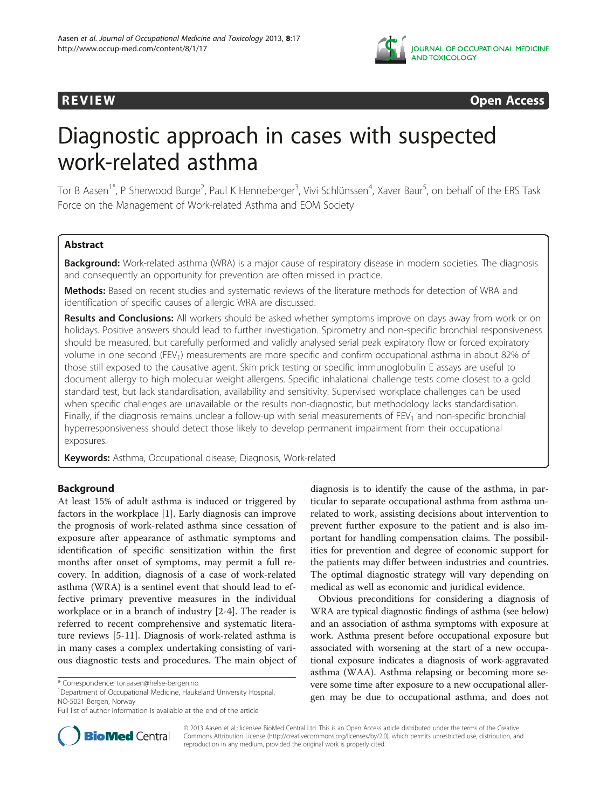

**REVIEW CONSIDERING CONSIDERING CONSIDERING CONSIDERING CONSIDERING CONSIDERING CONSIDERING CONSIDERING CONSIDERING CONSIDERING CONSIDERING CONSIDERING CONSIDERING CONSIDERING CONSIDERING CONSIDERING CONSIDERING CONSIDER** 

# Diagnostic approach in cases with suspected work-related asthma

Tor B Aasen<sup>1\*</sup>, P Sherwood Burge<sup>2</sup>, Paul K Henneberger<sup>3</sup>, Vivi Schlünssen<sup>4</sup>, Xaver Baur<sup>5</sup>, on behalf of the ERS Task Force on the Management of Work-related Asthma and EOM Society

# Abstract

Background: Work-related asthma (WRA) is a major cause of respiratory disease in modern societies. The diagnosis and consequently an opportunity for prevention are often missed in practice.

Methods: Based on recent studies and systematic reviews of the literature methods for detection of WRA and identification of specific causes of allergic WRA are discussed.

Results and Conclusions: All workers should be asked whether symptoms improve on days away from work or on holidays. Positive answers should lead to further investigation. Spirometry and non-specific bronchial responsiveness should be measured, but carefully performed and validly analysed serial peak expiratory flow or forced expiratory volume in one second (FEV<sub>1</sub>) measurements are more specific and confirm occupational asthma in about 82% of those still exposed to the causative agent. Skin prick testing or specific immunoglobulin E assays are useful to document allergy to high molecular weight allergens. Specific inhalational challenge tests come closest to a gold standard test, but lack standardisation, availability and sensitivity. Supervised workplace challenges can be used when specific challenges are unavailable or the results non-diagnostic, but methodology lacks standardisation. Finally, if the diagnosis remains unclear a follow-up with serial measurements of FEV<sub>1</sub> and non-specific bronchial hyperresponsiveness should detect those likely to develop permanent impairment from their occupational exposures.

Keywords: Asthma, Occupational disease, Diagnosis, Work-related

# Background

At least 15% of adult asthma is induced or triggered by factors in the workplace [[1\]](#page-6-0). Early diagnosis can improve the prognosis of work-related asthma since cessation of exposure after appearance of asthmatic symptoms and identification of specific sensitization within the first months after onset of symptoms, may permit a full recovery. In addition, diagnosis of a case of work-related asthma (WRA) is a sentinel event that should lead to effective primary preventive measures in the individual workplace or in a branch of industry [\[2](#page-6-0)-[4\]](#page-6-0). The reader is referred to recent comprehensive and systematic literature reviews [[5-11](#page-6-0)]. Diagnosis of work-related asthma is in many cases a complex undertaking consisting of various diagnostic tests and procedures. The main object of

<sup>1</sup>Department of Occupational Medicine, Haukeland University Hospital, NO-5021 Bergen, Norway

diagnosis is to identify the cause of the asthma, in particular to separate occupational asthma from asthma unrelated to work, assisting decisions about intervention to prevent further exposure to the patient and is also important for handling compensation claims. The possibilities for prevention and degree of economic support for the patients may differ between industries and countries. The optimal diagnostic strategy will vary depending on medical as well as economic and juridical evidence.

Obvious preconditions for considering a diagnosis of WRA are typical diagnostic findings of asthma (see below) and an association of asthma symptoms with exposure at work. Asthma present before occupational exposure but associated with worsening at the start of a new occupational exposure indicates a diagnosis of work-aggravated asthma (WAA). Asthma relapsing or becoming more severe some time after exposure to a new occupational allergen may be due to occupational asthma, and does not



© 2013 Aasen et al.; licensee BioMed Central Ltd. This is an Open Access article distributed under the terms of the Creative Commons Attribution License [\(http://creativecommons.org/licenses/by/2.0\)](http://creativecommons.org/licenses/by/2.0), which permits unrestricted use, distribution, and reproduction in any medium, provided the original work is properly cited.

<sup>\*</sup> Correspondence: [tor.aasen@helse-bergen.no](mailto:tor.aasen@helse-bergen.no) <sup>1</sup>

Full list of author information is available at the end of the article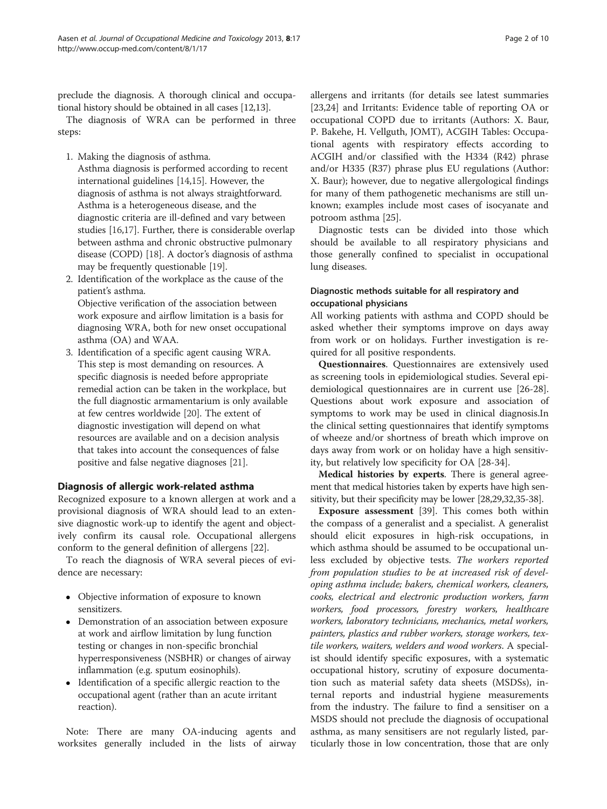preclude the diagnosis. A thorough clinical and occupational history should be obtained in all cases [\[12,13\]](#page-6-0).

The diagnosis of WRA can be performed in three steps:

- 1. Making the diagnosis of asthma.
- Asthma diagnosis is performed according to recent international guidelines [\[14,15\]](#page-6-0). However, the diagnosis of asthma is not always straightforward. Asthma is a heterogeneous disease, and the diagnostic criteria are ill-defined and vary between studies [\[16,17](#page-6-0)]. Further, there is considerable overlap between asthma and chronic obstructive pulmonary disease (COPD) [\[18\]](#page-6-0). A doctor's diagnosis of asthma may be frequently questionable [\[19\]](#page-6-0).
- 2. Identification of the workplace as the cause of the patient's asthma. Objective verification of the association between work exposure and airflow limitation is a basis for diagnosing WRA, both for new onset occupational asthma (OA) and WAA.
- 3. Identification of a specific agent causing WRA. This step is most demanding on resources. A specific diagnosis is needed before appropriate remedial action can be taken in the workplace, but the full diagnostic armamentarium is only available at few centres worldwide [\[20\]](#page-6-0). The extent of diagnostic investigation will depend on what resources are available and on a decision analysis that takes into account the consequences of false positive and false negative diagnoses [\[21](#page-6-0)].

# Diagnosis of allergic work-related asthma

Recognized exposure to a known allergen at work and a provisional diagnosis of WRA should lead to an extensive diagnostic work-up to identify the agent and objectively confirm its causal role. Occupational allergens conform to the general definition of allergens [\[22\]](#page-6-0).

To reach the diagnosis of WRA several pieces of evidence are necessary:

- Objective information of exposure to known sensitizers.
- Demonstration of an association between exposure at work and airflow limitation by lung function testing or changes in non-specific bronchial hyperresponsiveness (NSBHR) or changes of airway inflammation (e.g. sputum eosinophils).
- Identification of a specific allergic reaction to the occupational agent (rather than an acute irritant reaction).

Note: There are many OA-inducing agents and worksites generally included in the lists of airway

allergens and irritants (for details see latest summaries [[23,24\]](#page-6-0) and Irritants: Evidence table of reporting OA or occupational COPD due to irritants (Authors: X. Baur, P. Bakehe, H. Vellguth, JOMT), ACGIH Tables: Occupational agents with respiratory effects according to ACGIH and/or classified with the H334 (R42) phrase and/or H335 (R37) phrase plus EU regulations (Author: X. Baur); however, due to negative allergological findings for many of them pathogenetic mechanisms are still unknown; examples include most cases of isocyanate and potroom asthma [[25\]](#page-6-0).

Diagnostic tests can be divided into those which should be available to all respiratory physicians and those generally confined to specialist in occupational lung diseases.

# Diagnostic methods suitable for all respiratory and occupational physicians

All working patients with asthma and COPD should be asked whether their symptoms improve on days away from work or on holidays. Further investigation is required for all positive respondents.

Questionnaires. Questionnaires are extensively used as screening tools in epidemiological studies. Several epidemiological questionnaires are in current use [\[26-28](#page-6-0)]. Questions about work exposure and association of symptoms to work may be used in clinical diagnosis.In the clinical setting questionnaires that identify symptoms of wheeze and/or shortness of breath which improve on days away from work or on holiday have a high sensitivity, but relatively low specificity for OA [\[28-](#page-6-0)[34](#page-7-0)].

Medical histories by experts. There is general agreement that medical histories taken by experts have high sensitivity, but their specificity may be lower [[28,29,](#page-6-0)[32,35-38\]](#page-7-0).

Exposure assessment [\[39](#page-7-0)]. This comes both within the compass of a generalist and a specialist. A generalist should elicit exposures in high-risk occupations, in which asthma should be assumed to be occupational unless excluded by objective tests. The workers reported from population studies to be at increased risk of developing asthma include; bakers, chemical workers, cleaners, cooks, electrical and electronic production workers, farm workers, food processors, forestry workers, healthcare workers, laboratory technicians, mechanics, metal workers, painters, plastics and rubber workers, storage workers, textile workers, waiters, welders and wood workers. A specialist should identify specific exposures, with a systematic occupational history, scrutiny of exposure documentation such as material safety data sheets (MSDSs), internal reports and industrial hygiene measurements from the industry. The failure to find a sensitiser on a MSDS should not preclude the diagnosis of occupational asthma, as many sensitisers are not regularly listed, particularly those in low concentration, those that are only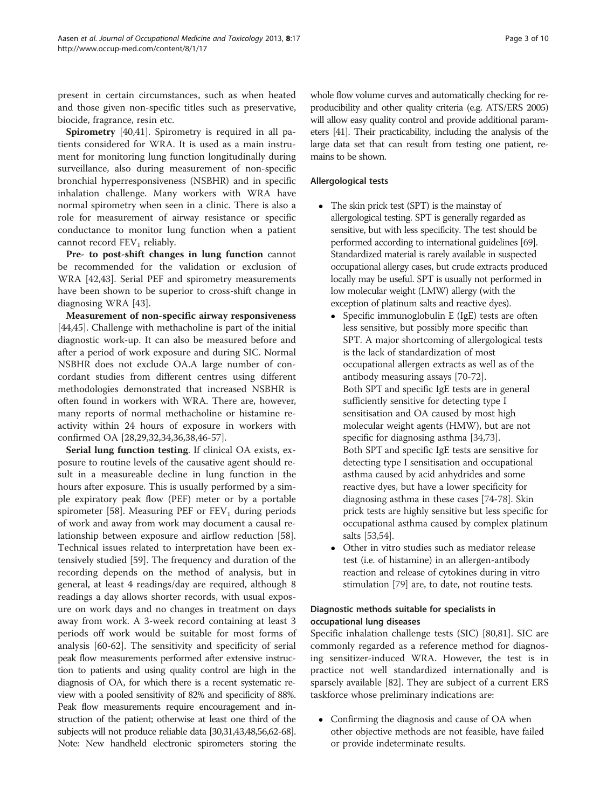present in certain circumstances, such as when heated and those given non-specific titles such as preservative, biocide, fragrance, resin etc.

Spirometry [[40](#page-7-0),[41](#page-7-0)]. Spirometry is required in all patients considered for WRA. It is used as a main instrument for monitoring lung function longitudinally during surveillance, also during measurement of non-specific bronchial hyperresponsiveness (NSBHR) and in specific inhalation challenge. Many workers with WRA have normal spirometry when seen in a clinic. There is also a role for measurement of airway resistance or specific conductance to monitor lung function when a patient cannot record  $FEV<sub>1</sub>$  reliably.

Pre- to post-shift changes in lung function cannot be recommended for the validation or exclusion of WRA [[42,43\]](#page-7-0). Serial PEF and spirometry measurements have been shown to be superior to cross-shift change in diagnosing WRA [[43\]](#page-7-0).

Measurement of non-specific airway responsiveness [[44,45\]](#page-7-0). Challenge with methacholine is part of the initial diagnostic work-up. It can also be measured before and after a period of work exposure and during SIC. Normal NSBHR does not exclude OA.A large number of concordant studies from different centres using different methodologies demonstrated that increased NSBHR is often found in workers with WRA. There are, however, many reports of normal methacholine or histamine reactivity within 24 hours of exposure in workers with confirmed OA [\[28,29,](#page-6-0)[32,34,36,38,46-57](#page-7-0)].

Serial lung function testing. If clinical OA exists, exposure to routine levels of the causative agent should result in a measureable decline in lung function in the hours after exposure. This is usually performed by a simple expiratory peak flow (PEF) meter or by a portable spirometer [[58](#page-7-0)]. Measuring PEF or  $FEV<sub>1</sub>$  during periods of work and away from work may document a causal relationship between exposure and airflow reduction [\[58](#page-7-0)]. Technical issues related to interpretation have been extensively studied [[59](#page-7-0)]. The frequency and duration of the recording depends on the method of analysis, but in general, at least 4 readings/day are required, although 8 readings a day allows shorter records, with usual exposure on work days and no changes in treatment on days away from work. A 3-week record containing at least 3 periods off work would be suitable for most forms of analysis [\[60](#page-7-0)-[62\]](#page-7-0). The sensitivity and specificity of serial peak flow measurements performed after extensive instruction to patients and using quality control are high in the diagnosis of OA, for which there is a recent systematic review with a pooled sensitivity of 82% and specificity of 88%. Peak flow measurements require encouragement and instruction of the patient; otherwise at least one third of the subjects will not produce reliable data [\[30,31,43,48,56,62-68\]](#page-7-0). Note: New handheld electronic spirometers storing the

whole flow volume curves and automatically checking for reproducibility and other quality criteria (e.g. ATS/ERS 2005) will allow easy quality control and provide additional parameters [\[41\]](#page-7-0). Their practicability, including the analysis of the large data set that can result from testing one patient, remains to be shown.

# Allergological tests

- The skin prick test (SPT) is the mainstay of allergological testing. SPT is generally regarded as sensitive, but with less specificity. The test should be performed according to international guidelines [[69\]](#page-7-0). Standardized material is rarely available in suspected occupational allergy cases, but crude extracts produced locally may be useful. SPT is usually not performed in low molecular weight (LMW) allergy (with the exception of platinum salts and reactive dyes).
	- Specific immunoglobulin E (IgE) tests are often less sensitive, but possibly more specific than SPT. A major shortcoming of allergological tests is the lack of standardization of most occupational allergen extracts as well as of the antibody measuring assays [\[70-72](#page-7-0)]. Both SPT and specific IgE tests are in general sufficiently sensitive for detecting type I sensitisation and OA caused by most high molecular weight agents (HMW), but are not specific for diagnosing asthma [[34,73\]](#page-7-0). Both SPT and specific IgE tests are sensitive for detecting type I sensitisation and occupational asthma caused by acid anhydrides and some reactive dyes, but have a lower specificity for diagnosing asthma in these cases [\[74](#page-7-0)-[78](#page-8-0)]. Skin prick tests are highly sensitive but less specific for occupational asthma caused by complex platinum salts [\[53,54\]](#page-7-0).
	- Other in vitro studies such as mediator release test (i.e. of histamine) in an allergen-antibody reaction and release of cytokines during in vitro stimulation [\[79\]](#page-8-0) are, to date, not routine tests.

# Diagnostic methods suitable for specialists in occupational lung diseases

Specific inhalation challenge tests (SIC) [[80](#page-8-0),[81](#page-8-0)]. SIC are commonly regarded as a reference method for diagnosing sensitizer-induced WRA. However, the test is in practice not well standardized internationally and is sparsely available [\[82\]](#page-8-0). They are subject of a current ERS taskforce whose preliminary indications are:

• Confirming the diagnosis and cause of OA when other objective methods are not feasible, have failed or provide indeterminate results.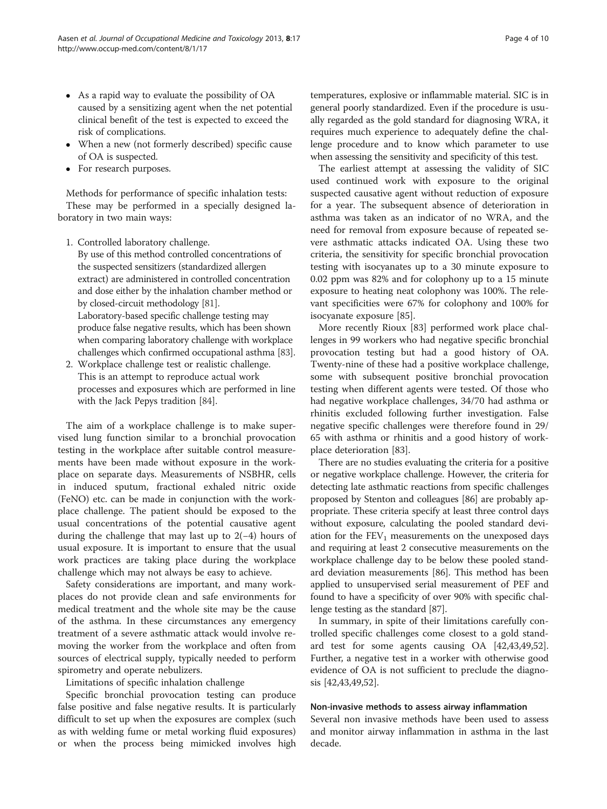- As a rapid way to evaluate the possibility of OA caused by a sensitizing agent when the net potential clinical benefit of the test is expected to exceed the risk of complications.
- When a new (not formerly described) specific cause of OA is suspected.
- For research purposes.

Methods for performance of specific inhalation tests: These may be performed in a specially designed laboratory in two main ways:

1. Controlled laboratory challenge.

By use of this method controlled concentrations of the suspected sensitizers (standardized allergen extract) are administered in controlled concentration and dose either by the inhalation chamber method or by closed-circuit methodology [\[81\]](#page-8-0). Laboratory-based specific challenge testing may produce false negative results, which has been shown when comparing laboratory challenge with workplace challenges which confirmed occupational asthma [\[83\]](#page-8-0).

2. Workplace challenge test or realistic challenge. This is an attempt to reproduce actual work processes and exposures which are performed in line with the Jack Pepys tradition [\[84](#page-8-0)].

The aim of a workplace challenge is to make supervised lung function similar to a bronchial provocation testing in the workplace after suitable control measurements have been made without exposure in the workplace on separate days. Measurements of NSBHR, cells in induced sputum, fractional exhaled nitric oxide (FeNO) etc. can be made in conjunction with the workplace challenge. The patient should be exposed to the usual concentrations of the potential causative agent during the challenge that may last up to 2(−4) hours of usual exposure. It is important to ensure that the usual work practices are taking place during the workplace challenge which may not always be easy to achieve.

Safety considerations are important, and many workplaces do not provide clean and safe environments for medical treatment and the whole site may be the cause of the asthma. In these circumstances any emergency treatment of a severe asthmatic attack would involve removing the worker from the workplace and often from sources of electrical supply, typically needed to perform spirometry and operate nebulizers.

Limitations of specific inhalation challenge

Specific bronchial provocation testing can produce false positive and false negative results. It is particularly difficult to set up when the exposures are complex (such as with welding fume or metal working fluid exposures) or when the process being mimicked involves high temperatures, explosive or inflammable material. SIC is in general poorly standardized. Even if the procedure is usually regarded as the gold standard for diagnosing WRA, it requires much experience to adequately define the challenge procedure and to know which parameter to use when assessing the sensitivity and specificity of this test.

The earliest attempt at assessing the validity of SIC used continued work with exposure to the original suspected causative agent without reduction of exposure for a year. The subsequent absence of deterioration in asthma was taken as an indicator of no WRA, and the need for removal from exposure because of repeated severe asthmatic attacks indicated OA. Using these two criteria, the sensitivity for specific bronchial provocation testing with isocyanates up to a 30 minute exposure to 0.02 ppm was 82% and for colophony up to a 15 minute exposure to heating neat colophony was 100%. The relevant specificities were 67% for colophony and 100% for isocyanate exposure [[85](#page-8-0)].

More recently Rioux [[83\]](#page-8-0) performed work place challenges in 99 workers who had negative specific bronchial provocation testing but had a good history of OA. Twenty-nine of these had a positive workplace challenge, some with subsequent positive bronchial provocation testing when different agents were tested. Of those who had negative workplace challenges, 34/70 had asthma or rhinitis excluded following further investigation. False negative specific challenges were therefore found in 29/ 65 with asthma or rhinitis and a good history of workplace deterioration [[83](#page-8-0)].

There are no studies evaluating the criteria for a positive or negative workplace challenge. However, the criteria for detecting late asthmatic reactions from specific challenges proposed by Stenton and colleagues [\[86](#page-8-0)] are probably appropriate. These criteria specify at least three control days without exposure, calculating the pooled standard deviation for the  $FEV_1$  measurements on the unexposed days and requiring at least 2 consecutive measurements on the workplace challenge day to be below these pooled standard deviation measurements [\[86\]](#page-8-0). This method has been applied to unsupervised serial measurement of PEF and found to have a specificity of over 90% with specific challenge testing as the standard [[87\]](#page-8-0).

In summary, in spite of their limitations carefully controlled specific challenges come closest to a gold standard test for some agents causing OA [[42](#page-7-0),[43,49,52](#page-7-0)]. Further, a negative test in a worker with otherwise good evidence of OA is not sufficient to preclude the diagnosis [[42,43,49,52\]](#page-7-0).

#### Non-invasive methods to assess airway inflammation

Several non invasive methods have been used to assess and monitor airway inflammation in asthma in the last decade.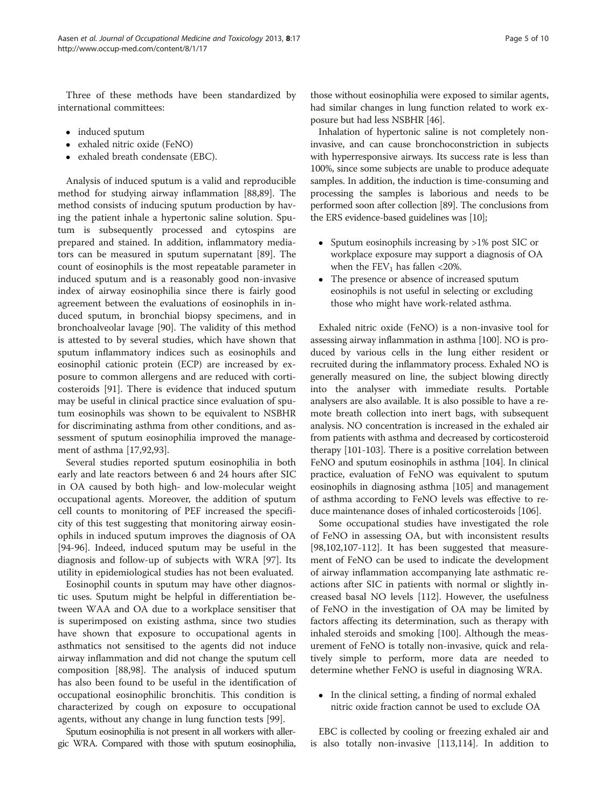Three of these methods have been standardized by international committees:

- induced sputum
- exhaled nitric oxide (FeNO)
- exhaled breath condensate (EBC).

Analysis of induced sputum is a valid and reproducible method for studying airway inflammation [\[88,89](#page-8-0)]. The method consists of inducing sputum production by having the patient inhale a hypertonic saline solution. Sputum is subsequently processed and cytospins are prepared and stained. In addition, inflammatory mediators can be measured in sputum supernatant [\[89\]](#page-8-0). The count of eosinophils is the most repeatable parameter in induced sputum and is a reasonably good non-invasive index of airway eosinophilia since there is fairly good agreement between the evaluations of eosinophils in induced sputum, in bronchial biopsy specimens, and in bronchoalveolar lavage [[90](#page-8-0)]. The validity of this method is attested to by several studies, which have shown that sputum inflammatory indices such as eosinophils and eosinophil cationic protein (ECP) are increased by exposure to common allergens and are reduced with corticosteroids [\[91](#page-8-0)]. There is evidence that induced sputum may be useful in clinical practice since evaluation of sputum eosinophils was shown to be equivalent to NSBHR for discriminating asthma from other conditions, and assessment of sputum eosinophilia improved the management of asthma [\[17](#page-6-0)[,92,93\]](#page-8-0).

Several studies reported sputum eosinophilia in both early and late reactors between 6 and 24 hours after SIC in OA caused by both high- and low-molecular weight occupational agents. Moreover, the addition of sputum cell counts to monitoring of PEF increased the specificity of this test suggesting that monitoring airway eosinophils in induced sputum improves the diagnosis of OA [[94-96](#page-8-0)]. Indeed, induced sputum may be useful in the diagnosis and follow-up of subjects with WRA [\[97\]](#page-8-0). Its utility in epidemiological studies has not been evaluated.

Eosinophil counts in sputum may have other diagnostic uses. Sputum might be helpful in differentiation between WAA and OA due to a workplace sensitiser that is superimposed on existing asthma, since two studies have shown that exposure to occupational agents in asthmatics not sensitised to the agents did not induce airway inflammation and did not change the sputum cell composition [\[88,98\]](#page-8-0). The analysis of induced sputum has also been found to be useful in the identification of occupational eosinophilic bronchitis. This condition is characterized by cough on exposure to occupational agents, without any change in lung function tests [[99\]](#page-8-0).

Sputum eosinophilia is not present in all workers with allergic WRA. Compared with those with sputum eosinophilia,

those without eosinophilia were exposed to similar agents, had similar changes in lung function related to work exposure but had less NSBHR [[46](#page-7-0)].

Inhalation of hypertonic saline is not completely noninvasive, and can cause bronchoconstriction in subjects with hyperresponsive airways. Its success rate is less than 100%, since some subjects are unable to produce adequate samples. In addition, the induction is time-consuming and processing the samples is laborious and needs to be performed soon after collection [[89](#page-8-0)]. The conclusions from the ERS evidence-based guidelines was [[10](#page-6-0)];

- Sputum eosinophils increasing by  $>1\%$  post SIC or workplace exposure may support a diagnosis of OA when the  $FEV_1$  has fallen <20%.
- The presence or absence of increased sputum eosinophils is not useful in selecting or excluding those who might have work-related asthma.

Exhaled nitric oxide (FeNO) is a non-invasive tool for assessing airway inflammation in asthma [[100](#page-8-0)]. NO is produced by various cells in the lung either resident or recruited during the inflammatory process. Exhaled NO is generally measured on line, the subject blowing directly into the analyser with immediate results. Portable analysers are also available. It is also possible to have a remote breath collection into inert bags, with subsequent analysis. NO concentration is increased in the exhaled air from patients with asthma and decreased by corticosteroid therapy [[101](#page-8-0)-[103](#page-8-0)]. There is a positive correlation between FeNO and sputum eosinophils in asthma [\[104\]](#page-8-0). In clinical practice, evaluation of FeNO was equivalent to sputum eosinophils in diagnosing asthma [\[105](#page-8-0)] and management of asthma according to FeNO levels was effective to reduce maintenance doses of inhaled corticosteroids [\[106\]](#page-8-0).

Some occupational studies have investigated the role of FeNO in assessing OA, but with inconsistent results [[98,102,107](#page-8-0)-[112\]](#page-8-0). It has been suggested that measurement of FeNO can be used to indicate the development of airway inflammation accompanying late asthmatic reactions after SIC in patients with normal or slightly increased basal NO levels [\[112\]](#page-8-0). However, the usefulness of FeNO in the investigation of OA may be limited by factors affecting its determination, such as therapy with inhaled steroids and smoking [[100](#page-8-0)]. Although the measurement of FeNO is totally non-invasive, quick and relatively simple to perform, more data are needed to determine whether FeNO is useful in diagnosing WRA.

• In the clinical setting, a finding of normal exhaled nitric oxide fraction cannot be used to exclude OA

EBC is collected by cooling or freezing exhaled air and is also totally non-invasive [\[113,114\]](#page-8-0). In addition to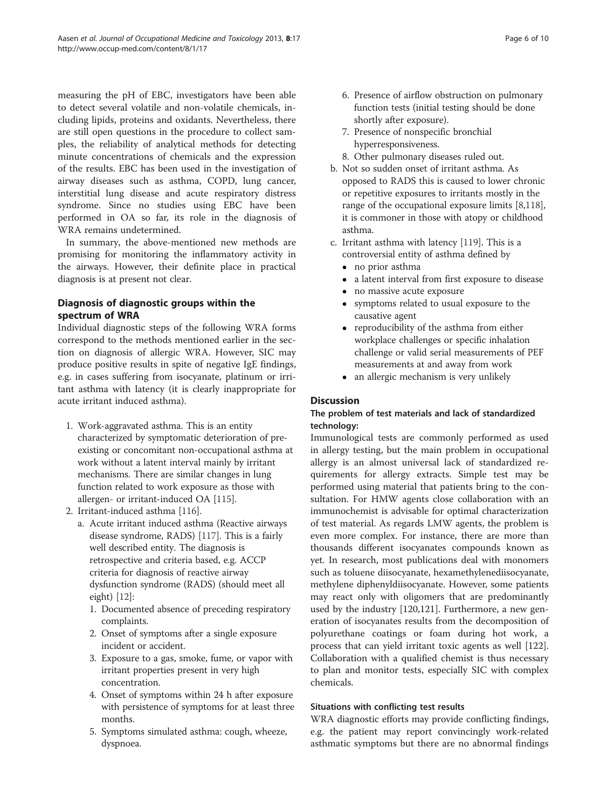measuring the pH of EBC, investigators have been able to detect several volatile and non-volatile chemicals, including lipids, proteins and oxidants. Nevertheless, there are still open questions in the procedure to collect samples, the reliability of analytical methods for detecting minute concentrations of chemicals and the expression of the results. EBC has been used in the investigation of airway diseases such as asthma, COPD, lung cancer, interstitial lung disease and acute respiratory distress syndrome. Since no studies using EBC have been performed in OA so far, its role in the diagnosis of WRA remains undetermined.

In summary, the above-mentioned new methods are promising for monitoring the inflammatory activity in the airways. However, their definite place in practical diagnosis is at present not clear.

# Diagnosis of diagnostic groups within the spectrum of WRA

Individual diagnostic steps of the following WRA forms correspond to the methods mentioned earlier in the section on diagnosis of allergic WRA. However, SIC may produce positive results in spite of negative IgE findings, e.g. in cases suffering from isocyanate, platinum or irritant asthma with latency (it is clearly inappropriate for acute irritant induced asthma).

- 1. Work-aggravated asthma. This is an entity characterized by symptomatic deterioration of preexisting or concomitant non-occupational asthma at work without a latent interval mainly by irritant mechanisms. There are similar changes in lung function related to work exposure as those with allergen- or irritant-induced OA [[115](#page-8-0)].
- 2. Irritant-induced asthma [\[116\]](#page-8-0).
	- a. Acute irritant induced asthma (Reactive airways disease syndrome, RADS) [[117](#page-8-0)]. This is a fairly well described entity. The diagnosis is retrospective and criteria based, e.g. ACCP criteria for diagnosis of reactive airway dysfunction syndrome (RADS) (should meet all eight) [\[12\]](#page-6-0):
		- 1. Documented absence of preceding respiratory complaints.
		- 2. Onset of symptoms after a single exposure incident or accident.
		- 3. Exposure to a gas, smoke, fume, or vapor with irritant properties present in very high concentration.
		- 4. Onset of symptoms within 24 h after exposure with persistence of symptoms for at least three months.
		- 5. Symptoms simulated asthma: cough, wheeze, dyspnoea.
- 
- 6. Presence of airflow obstruction on pulmonary function tests (initial testing should be done shortly after exposure).
- 7. Presence of nonspecific bronchial hyperresponsiveness.
- 8. Other pulmonary diseases ruled out.
- b. Not so sudden onset of irritant asthma. As opposed to RADS this is caused to lower chronic or repetitive exposures to irritants mostly in the range of the occupational exposure limits [[8,](#page-6-0)[118](#page-8-0)], it is commoner in those with atopy or childhood asthma.
- c. Irritant asthma with latency [[119](#page-8-0)]. This is a controversial entity of asthma defined by
	- no prior asthma
	- a latent interval from first exposure to disease
	- no massive acute exposure
	- symptoms related to usual exposure to the causative agent
	- reproducibility of the asthma from either workplace challenges or specific inhalation challenge or valid serial measurements of PEF measurements at and away from work
	- an allergic mechanism is very unlikely

# **Discussion**

# The problem of test materials and lack of standardized technology:

Immunological tests are commonly performed as used in allergy testing, but the main problem in occupational allergy is an almost universal lack of standardized requirements for allergy extracts. Simple test may be performed using material that patients bring to the consultation. For HMW agents close collaboration with an immunochemist is advisable for optimal characterization of test material. As regards LMW agents, the problem is even more complex. For instance, there are more than thousands different isocyanates compounds known as yet. In research, most publications deal with monomers such as toluene diisocyanate, hexamethylenediisocyanate, methylene diphenyldiisocyanate. However, some patients may react only with oligomers that are predominantly used by the industry [\[120](#page-8-0)[,121](#page-9-0)]. Furthermore, a new generation of isocyanates results from the decomposition of polyurethane coatings or foam during hot work, a process that can yield irritant toxic agents as well [[122](#page-9-0)]. Collaboration with a qualified chemist is thus necessary to plan and monitor tests, especially SIC with complex chemicals.

# Situations with conflicting test results

WRA diagnostic efforts may provide conflicting findings, e.g. the patient may report convincingly work-related asthmatic symptoms but there are no abnormal findings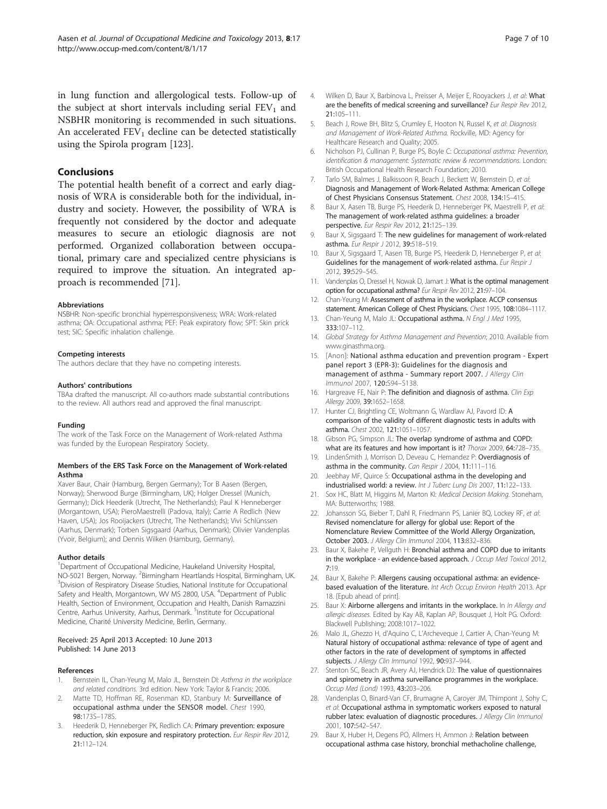<span id="page-6-0"></span>in lung function and allergological tests. Follow-up of the subject at short intervals including serial  $FEV<sub>1</sub>$  and NSBHR monitoring is recommended in such situations. An accelerated  $FEV<sub>1</sub>$  decline can be detected statistically using the Spirola program [[123\]](#page-9-0).

#### Conclusions

The potential health benefit of a correct and early diagnosis of WRA is considerable both for the individual, industry and society. However, the possibility of WRA is frequently not considered by the doctor and adequate measures to secure an etiologic diagnosis are not performed. Organized collaboration between occupational, primary care and specialized centre physicians is required to improve the situation. An integrated approach is recommended [[71\]](#page-7-0).

#### Abbreviations

NSBHR: Non-specific bronchial hyperresponsiveness; WRA: Work-related asthma; OA: Occupational asthma; PEF: Peak expiratory flow; SPT: Skin prick test; SIC: Specific inhalation challenge.

#### Competing interests

The authors declare that they have no competing interests.

#### Authors' contributions

TBAa drafted the manuscript. All co-authors made substantial contributions to the review. All authors read and approved the final manuscript.

#### Funding

The work of the Task Force on the Management of Work-related Asthma was funded by the European Respiratory Society.

#### Members of the ERS Task Force on the Management of Work-related Asthma

Xaver Baur, Chair (Hamburg, Bergen Germany); Tor B Aasen (Bergen, Norway); Sherwood Burge (Birmingham, UK); Holger Dressel (Munich, Germany); Dick Heederik (Utrecht, The Netherlands); Paul K Henneberger (Morgantown, USA); PieroMaestrelli (Padova, Italy); Carrie A Redlich (New Haven, USA); Jos Rooijackers (Utrecht, The Netherlands); Vivi Schlünssen (Aarhus, Denmark); Torben Sigsgaard (Aarhus, Denmark); Olivier Vandenplas (Yvoir, Belgium); and Dennis Wilken (Hamburg, Germany).

#### Author details

<sup>1</sup>Department of Occupational Medicine, Haukeland University Hospital, NO-5021 Bergen, Norway. <sup>2</sup>Birmingham Heartlands Hospital, Birmingham, UK.<br><sup>3</sup>Division of Perpiratory Disoase Studies, National Institute for Occupational <sup>3</sup>Division of Respiratory Disease Studies, National Institute for Occupational Safety and Health, Morgantown, WV MS 2800, USA. <sup>4</sup>Department of Public Health, Section of Environment, Occupation and Health, Danish Ramazzini Centre, Aarhus University, Aarhus, Denmark. <sup>5</sup>Institute for Occupational Medicine, Charité University Medicine, Berlin, Germany.

#### Received: 25 April 2013 Accepted: 10 June 2013 Published: 14 June 2013

#### References

- 1. Bernstein IL, Chan-Yeung M, Malo JL, Bernstein DI: Asthma in the workplace and related conditions. 3rd edition. New York: Taylor & Francis; 2006.
- Matte TD, Hoffman RE, Rosenman KD, Stanbury M: Surveillance of occupational asthma under the SENSOR model. Chest 1990, 98:173S-178S
- Heederik D, Henneberger PK, Redlich CA: Primary prevention: exposure reduction, skin exposure and respiratory protection. Eur Respir Rev 2012, 21:112–124.
- 4. Wilken D, Baur X, Barbinova L, Preisser A, Meijer E, Rooyackers J, et al: What are the benefits of medical screening and surveillance? Eur Respir Rev 2012, 21:105–111.
- 5. Beach J, Rowe BH, Blitz S, Crumley E, Hooton N, Russel K, et al: Diagnosis and Management of Work-Related Asthma. Rockville, MD: Agency for Healthcare Research and Quality; 2005.
- 6. Nicholson PJ, Cullinan P, Burge PS, Boyle C: Occupational asthma: Prevention, identification & management: Systematic review & recommendations. London: British Occupational Health Research Foundation; 2010.
- 7. Tarlo SM, Balmes J, Balkissoon R, Beach J, Beckett W, Bernstein D, et al: Diagnosis and Management of Work-Related Asthma: American College of Chest Physicians Consensus Statement. Chest 2008, 134:1S–41S.
- 8. Baur X, Aasen TB, Burge PS, Heederik D, Henneberger PK, Maestrelli P, et al: The management of work-related asthma guidelines: a broader perspective. Eur Respir Rev 2012, 21:125–139.
- 9. Baur X, Sigsgaard T: The new guidelines for management of work-related asthma. Eur Respir J 2012, 39:518–519.
- 10. Baur X, Sigsgaard T, Aasen TB, Burge PS, Heederik D, Henneberger P, et al: Guidelines for the management of work-related asthma. Eur Respir J 2012, 39:529–545.
- 11. Vandenplas O, Dressel H, Nowak D, Jamart J: What is the optimal management option for occupational asthma? Eur Respir Rev 2012, 21:97–104.
- 12. Chan-Yeung M: Assessment of asthma in the workplace. ACCP consensus statement. American College of Chest Physicians. Chest 1995, 108:1084–1117.
- 13. Chan-Yeung M, Malo JL: Occupational asthma. N Engl J Med 1995, 333:107–112.
- 14. Global Strategy for Asthma Management and Prevention; 2010. Available from [www.ginasthma.org.](http://www.ginasthma.org)
- 15. [Anon]: National asthma education and prevention program Expert panel report 3 (EPR-3): Guidelines for the diagnosis and management of asthma - Summary report 2007. J Allergy Clin Immunol 2007, 120:S94–S138.
- 16. Hargreave FE, Nair P: The definition and diagnosis of asthma. Clin Exp Allergy 2009, 39:1652–1658.
- 17. Hunter CJ, Brightling CE, Woltmann G, Wardlaw AJ, Pavord ID: A comparison of the validity of different diagnostic tests in adults with asthma. Chest 2002, 121:1051–1057.
- 18. Gibson PG, Simpson JL: The overlap syndrome of asthma and COPD: what are its features and how important is it? Thorax 2009, 64:728–735.
- 19. LindenSmith J, Morrison D, Deveau C, Hernandez P: Overdiagnosis of asthma in the community. Can Respir J 2004, 11:111-116.
- 20. Jeebhay MF, Quirce S: Occupational asthma in the developing and industrialised world: a review. Int J Tuberc Lung Dis 2007, 11:122-133.
- 21. Sox HC, Blatt M, Higgins M, Marton KI: Medical Decision Making. Stoneham, MA: Butterworths; 1988.
- 22. Johansson SG, Bieber T, Dahl R, Friedmann PS, Lanier BO, Lockey RF, et al: Revised nomenclature for allergy for global use: Report of the Nomenclature Review Committee of the World Allergy Organization, October 2003. J Allergy Clin Immunol 2004, 113:832–836.
- 23. Baur X, Bakehe P, Vellguth H: Bronchial asthma and COPD due to irritants in the workplace - an evidence-based approach. J Occup Med Toxicol 2012, 7:19.
- 24. Baur X, Bakehe P: Allergens causing occupational asthma: an evidencebased evaluation of the literature. Int Arch Occup Environ Health 2013. Apr 18. [Epub ahead of print].
- 25. Baur X: Airborne allergens and irritants in the workplace. In In Allergy and allergic diseases. Edited by Kay AB, Kaplan AP, Bousquet J, Holt PG. Oxford: Blackwell Publishing; 2008:1017–1022.
- 26. Malo JL, Ghezzo H, d'Aquino C, L'Archeveque J, Cartier A, Chan-Yeung M: Natural history of occupational asthma: relevance of type of agent and other factors in the rate of development of symptoms in affected subjects. J Allergy Clin Immunol 1992, 90:937-944.
- 27. Stenton SC, Beach JR, Avery AJ, Hendrick DJ: The value of questionnaires and spirometry in asthma surveillance programmes in the workplace. Occup Med (Lond) 1993, 43:203–206.
- 28. Vandenplas O, Binard-Van CF, Brumagne A, Caroyer JM, Thimpont J, Sohy C, et al: Occupational asthma in symptomatic workers exposed to natural rubber latex: evaluation of diagnostic procedures. J Allergy Clin Immunol 2001, 107:542–547.
- 29. Baur X, Huber H, Degens PO, Allmers H, Ammon J: Relation between occupational asthma case history, bronchial methacholine challenge,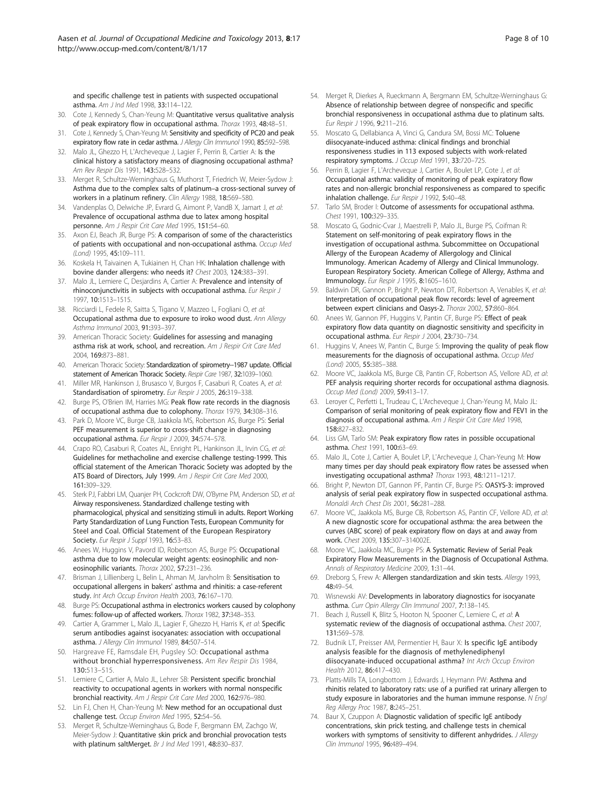<span id="page-7-0"></span>and specific challenge test in patients with suspected occupational asthma. Am J Ind Med 1998, 33:114–122.

- 30. Cote J, Kennedy S, Chan-Yeung M: Quantitative versus qualitative analysis of peak expiratory flow in occupational asthma. Thorax 1993, 48:48–51.
- 31. Cote J, Kennedy S, Chan-Yeung M: Sensitivity and specificity of PC20 and peak expiratory flow rate in cedar asthma. J Allergy Clin Immunol 1990, 85:592-598.
- 32. Malo JL, Ghezzo H, L'Archeveque J, Lagier F, Perrin B, Cartier A: Is the clinical history a satisfactory means of diagnosing occupational asthma? Am Rev Respir Dis 1991, 143:528–532.
- 33. Merget R, Schultze-Werninghaus G, Muthorst T, Friedrich W, Meier-Sydow J: Asthma due to the complex salts of platinum–a cross-sectional survey of workers in a platinum refinery. Clin Allergy 1988, 18:569-580.
- 34. Vandenplas O, Delwiche JP, Evrard G, Aimont P, VandB X, Jamart J, et al: Prevalence of occupational asthma due to latex among hospital personne. Am J Respir Crit Care Med 1995, 151:54–60.
- 35. Axon EJ, Beach JR, Burge PS: A comparison of some of the characteristics of patients with occupational and non-occupational asthma. Occup Med (Lond) 1995, 45:109–111.
- 36. Koskela H, Taivainen A, Tukiainen H, Chan HK: Inhalation challenge with bovine dander allergens: who needs it? Chest 2003, 124:383–391.
- 37. Malo JL, Lemiere C, Desjardins A, Cartier A: Prevalence and intensity of rhinoconjunctivitis in subjects with occupational asthma. Eur Respir J 1997, 10:1513–1515.
- 38. Ricciardi L, Fedele R, Saitta S, Tigano V, Mazzeo L, Fogliani O, et al: Occupational asthma due to exposure to iroko wood dust. Ann Allergy Asthma Immunol 2003, 91:393–397.
- 39. American Thoracic Society: Guidelines for assessing and managing asthma risk at work, school, and recreation. Am J Respir Crit Care Med 2004, 169:873–881.
- 40. American Thoracic Society: Standardization of spirometry--1987 update. Official statement of American Thoracic Society. Respir Care 1987, 32:1039–1060.
- 41. Miller MR, Hankinson J, Brusasco V, Burgos F, Casaburi R, Coates A, et al: Standardisation of spirometry. Eur Respir J 2005, 26:319-338.
- 42. Burge PS, O'Brien IM, Harries MG: Peak flow rate records in the diagnosis of occupational asthma due to colophony. Thorax 1979, 34:308–316.
- 43. Park D, Moore VC, Burge CB, Jaakkola MS, Robertson AS, Burge PS: Serial PEF measurement is superior to cross-shift change in diagnosing occupational asthma. Eur Respir J 2009, 34:574–578.
- 44. Crapo RO, Casaburi R, Coates AL, Enright PL, Hankinson JL, Irvin CG, et al: Guidelines for methacholine and exercise challenge testing-1999. This official statement of the American Thoracic Society was adopted by the ATS Board of Directors, July 1999. Am J Respir Crit Care Med 2000, 161:309–329.
- 45. Sterk PJ, Fabbri LM, Quanjer PH, Cockcroft DW, O'Byrne PM, Anderson SD, et al: Airway responsiveness. Standardized challenge testing with pharmacological, physical and sensitizing stimuli in adults. Report Working Party Standardization of Lung Function Tests, European Community for Steel and Coal. Official Statement of the European Respiratory Society. Eur Respir J Suppl 1993, 16:53-83.
- 46. Anees W, Huggins V, Pavord ID, Robertson AS, Burge PS: Occupational asthma due to low molecular weight agents: eosinophilic and noneosinophilic variants. Thorax 2002, 57:231–236.
- 47. Brisman J, Lillienberg L, Belin L, Ahman M, Jarvholm B: Sensitisation to occupational allergens in bakers' asthma and rhinitis: a case-referent study. Int Arch Occup Environ Health 2003, 76:167-170.
- 48. Burge PS: Occupational asthma in electronics workers caused by colophony fumes: follow-up of affected workers. Thorax 1982, 37:348–353.
- 49. Cartier A, Grammer L, Malo JL, Lagier F, Ghezzo H, Harris K, et al: Specific serum antibodies against isocyanates: association with occupational asthma. J Allergy Clin Immunol 1989, 84:507–514.
- 50. Hargreave FE, Ramsdale EH, Pugsley SO: Occupational asthma without bronchial hyperresponsiveness. Am Rev Respir Dis 1984, 130:513–515.
- 51. Lemiere C, Cartier A, Malo JL, Lehrer SB: Persistent specific bronchial reactivity to occupational agents in workers with normal nonspecific bronchial reactivity. Am J Respir Crit Care Med 2000, 162:976–980.
- 52. Lin FJ, Chen H, Chan-Yeung M: New method for an occupational dust challenge test. Occup Environ Med 1995, 52:54–56.
- 53. Merget R, Schultze-Werninghaus G, Bode F, Bergmann EM, Zachgo W, Meier-Sydow J: Quantitative skin prick and bronchial provocation tests with platinum saltMerget. Br J Ind Med 1991, 48:830-837.
- 54. Merget R, Dierkes A, Rueckmann A, Bergmann EM, Schultze-Werninghaus G: Absence of relationship between degree of nonspecific and specific bronchial responsiveness in occupational asthma due to platinum salts. Eur Respir J 1996, 9:211–216.
- 55. Moscato G, Dellabianca A, Vinci G, Candura SM, Bossi MC: Toluene diisocyanate-induced asthma: clinical findings and bronchial responsiveness studies in 113 exposed subjects with work-related respiratory symptoms. J Occup Med 1991, 33:720–725.
- 56. Perrin B, Lagier F, L'Archeveque J, Cartier A, Boulet LP, Cote J, et al: Occupational asthma: validity of monitoring of peak expiratory flow rates and non-allergic bronchial responsiveness as compared to specific inhalation challenge. Eur Respir J 1992, 5:40–48.
- 57. Tarlo SM, Broder I: Outcome of assessments for occupational asthma. Chest 1991, 100:329–335.
- 58. Moscato G, Godnic-Cvar J, Maestrelli P, Malo JL, Burge PS, Coifman R: Statement on self-monitoring of peak expiratory flows in the investigation of occupational asthma. Subcommittee on Occupational Allergy of the European Academy of Allergology and Clinical Immunology. American Academy of Allergy and Clinical Immunology. European Respiratory Society. American College of Allergy, Asthma and Immunology. Eur Respir J 1995, 8:1605–1610.
- 59. Baldwin DR, Gannon P, Bright P, Newton DT, Robertson A, Venables K, et al: Interpretation of occupational peak flow records: level of agreement between expert clinicians and Oasys-2. Thorax 2002, 57:860–864.
- 60. Anees W, Gannon PF, Huggins V, Pantin CF, Burge PS: Effect of peak expiratory flow data quantity on diagnostic sensitivity and specificity in occupational asthma. Eur Respir J 2004, 23:730–734.
- 61. Huggins V, Anees W, Pantin C, Burge S: Improving the quality of peak flow measurements for the diagnosis of occupational asthma. Occup Med (Lond) 2005, 55:385–388.
- 62. Moore VC, Jaakkola MS, Burge CB, Pantin CF, Robertson AS, Vellore AD, et al: PEF analysis requiring shorter records for occupational asthma diagnosis. Occup Med (Lond) 2009, 59:413–17.
- 63. Leroyer C, Perfetti L, Trudeau C, L'Archeveque J, Chan-Yeung M, Malo JL: Comparison of serial monitoring of peak expiratory flow and FEV1 in the diagnosis of occupational asthma. Am J Respir Crit Care Med 1998, 158:827–832.
- 64. Liss GM, Tarlo SM: Peak expiratory flow rates in possible occupational asthma. Chest 1991, 100:63–69.
- 65. Malo JL, Cote J, Cartier A, Boulet LP, L'Archeveque J, Chan-Yeung M: How many times per day should peak expiratory flow rates be assessed when investigating occupational asthma? Thorax 1993, 48:1211–1217.
- Bright P, Newton DT, Gannon PF, Pantin CF, Burge PS: OASYS-3: improved analysis of serial peak expiratory flow in suspected occupational asthma. Monaldi Arch Chest Dis 2001, 56:281–288.
- 67. Moore VC, Jaakkola MS, Burge CB, Robertson AS, Pantin CF, Vellore AD, et al: A new diagnostic score for occupational asthma: the area between the curves (ABC score) of peak expiratory flow on days at and away from work. Chest 2009, 135:307–314002E.
- Moore VC, Jaakkola MC, Burge PS: A Systematic Review of Serial Peak Expiratory Flow Measurements in the Diagnosis of Occupational Asthma. Annals of Respiratory Medicine 2009, 1:31–44.
- 69. Dreborg S, Frew A: Allergen standardization and skin tests. Allergy 1993, 48:49–54.
- 70. Wisnewski AV: Developments in laboratory diagnostics for isocyanate asthma. Curr Opin Allergy Clin Immunol 2007, 7:138–145.
- 71. Beach J, Russell K, Blitz S, Hooton N, Spooner C, Lemiere C, et al: A systematic review of the diagnosis of occupational asthma. Chest 2007, 131:569–578.
- 72. Budnik LT, Preisser AM, Permentier H, Baur X: Is specific IgE antibody analysis feasible for the diagnosis of methylenediphenyl diisocyanate-induced occupational asthma? Int Arch Occup Environ Health 2012, 86:417–430.
- 73. Platts-Mills TA, Longbottom J, Edwards J, Heymann PW: Asthma and rhinitis related to laboratory rats: use of a purified rat urinary allergen to study exposure in laboratories and the human immune response. N Engl Reg Allergy Proc 1987, 8:245–251.
- 74. Baur X, Czuppon A: Diagnostic validation of specific IgE antibody concentrations, skin prick testing, and challenge tests in chemical workers with symptoms of sensitivity to different anhydrides. J Allergy Clin Immunol 1995, 96:489–494.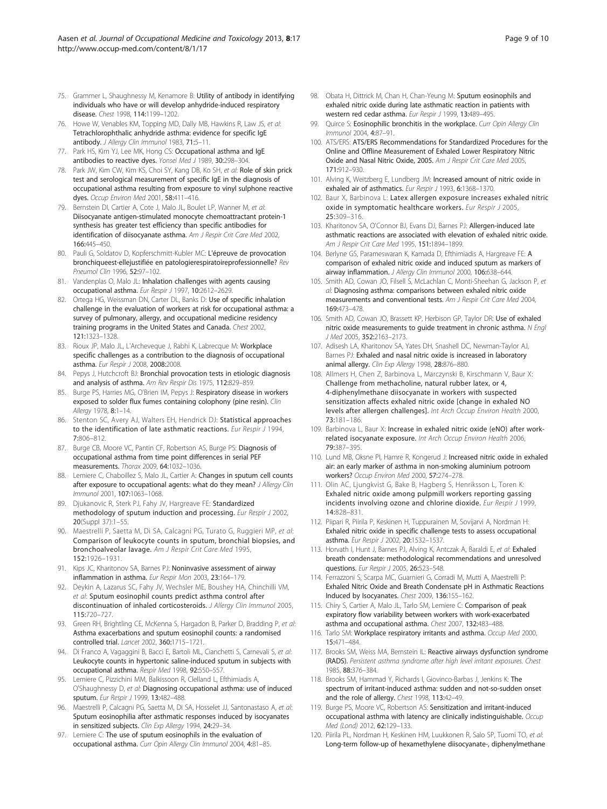- <span id="page-8-0"></span>75. Grammer L, Shaughnessy M, Kenamore B: Utility of antibody in identifying individuals who have or will develop anhydride-induced respiratory disease. Chest 1998, 114:1199–1202.
- 76. Howe W, Venables KM, Topping MD, Dally MB, Hawkins R, Law JS, et al: Tetrachlorophthalic anhydride asthma: evidence for specific IgE antibody. J Allergy Clin Immunol 1983, 71:5–11.
- 77. Park HS, Kim YJ, Lee MK, Hong CS: Occupational asthma and IgE antibodies to reactive dyes. Yonsei Med J 1989, 30:298-304
- 78. Park JW, Kim CW, Kim KS, Choi SY, Kang DB, Ko SH, et al: Role of skin prick test and serological measurement of specific IgE in the diagnosis of occupational asthma resulting from exposure to vinyl sulphone reactive dyes. Occup Environ Med 2001, 58:411–416.
- 79. Bernstein DI, Cartier A, Cote J, Malo JL, Boulet LP, Wanner M, et al: Diisocyanate antigen-stimulated monocyte chemoattractant protein-1 synthesis has greater test efficiency than specific antibodies for identification of diisocyanate asthma. Am J Respir Crit Care Med 2002, 166:445–450.
- Pauli G, Soldatov D, Kopferschmitt-Kubler MC: L'épreuve de provocation bronchiqueest-ellejustifiée en patologierespiratoireprofessionnelle? Rev Pneumol Clin 1996, 52:97–102.
- 81. Vandenplas O, Malo JL: Inhalation challenges with agents causing occupational asthma. Eur Respir J 1997, 10:2612–2629.
- 82. Ortega HG, Weissman DN, Carter DL, Banks D: Use of specific inhalation challenge in the evaluation of workers at risk for occupational asthma: a survey of pulmonary, allergy, and occupational medicine residency training programs in the United States and Canada. Chest 2002, 121:1323–1328.
- 83. Rioux JP, Malo JL, L'Archeveque J, Rabhi K, Labrecque M: Workplace specific challenges as a contribution to the diagnosis of occupational asthma. Eur Respir J 2008, 2008:2008.
- 84. Pepys J, Hutchcroft BJ: Bronchial provocation tests in etiologic diagnosis and analysis of asthma. Am Rev Respir Dis 1975, 112:829–859.
- 85. Burge PS, Harries MG, O'Brien IM, Pepys J: Respiratory disease in workers exposed to solder flux fumes containing colophony (pine resin). Clin Allergy 1978, 8:1-14.
- 86. Stenton SC, Avery AJ, Walters EH, Hendrick DJ: Statistical approaches to the identification of late asthmatic reactions. Eur Respir J 1994, 7:806–812.
- 87. Burge CB, Moore VC, Pantin CF, Robertson AS, Burge PS: Diagnosis of occupational asthma from time point differences in serial PEF measurements. Thorax 2009, 64:1032–1036.
- 88. Lemiere C, Chaboillez S, Malo JL, Cartier A: Changes in sputum cell counts after exposure to occupational agents: what do they mean? J Allergy Clin Immunol 2001, 107:1063–1068.
- 89. Djukanovic R, Sterk PJ, Fahy JV, Hargreave FE: Standardized methodology of sputum induction and processing. Eur Respir J 2002, 20(Suppl 37):1–55.
- 90. Maestrelli P, Saetta M, Di SA, Calcagni PG, Turato G, Ruggieri MP, et al: Comparison of leukocyte counts in sputum, bronchial biopsies, and bronchoalveolar lavage. Am J Respir Crit Care Med 1995, 152:1926–1931.
- 91. Kips JC, Kharitonov SA, Barnes PJ: Noninvasive assessment of airway inflammation in asthma. Eur Respir Mon 2003, 23:164–179.
- 92. Deykin A, Lazarus SC, Fahy JV, Wechsler ME, Boushey HA, Chinchilli VM, et al: Sputum eosinophil counts predict asthma control after discontinuation of inhaled corticosteroids. J Allergy Clin Immunol 2005, 115:720–727.
- 93. Green RH, Brightling CE, McKenna S, Hargadon B, Parker D, Bradding P, et al: Asthma exacerbations and sputum eosinophil counts: a randomised controlled trial. Lancet 2002, 360:1715–1721.
- 94. Di Franco A, Vagaggini B, Bacci E, Bartoli ML, Cianchetti S, Carnevali S, et al: Leukocyte counts in hypertonic saline-induced sputum in subjects with occupational asthma. Respir Med 1998, 92:550–557.
- 95. Lemiere C, Pizzichini MM, Balkissoon R, Clelland L, Efthimiadis A, O'Shaughnessy D, et al: Diagnosing occupational asthma: use of induced sputum. Eur Respir J 1999, 13:482-488.
- 96. Maestrelli P, Calcagni PG, Saetta M, Di SA, Hosselet JJ, Santonastaso A, et al: Sputum eosinophilia after asthmatic responses induced by isocyanates in sensitized subjects. Clin Exp Allergy 1994, 24:29-34.
- 97. Lemiere C: The use of sputum eosinophils in the evaluation of occupational asthma. Curr Opin Allergy Clin Immunol 2004, 4:81-85.
- 98. Obata H, Dittrick M, Chan H, Chan-Yeung M: Sputum eosinophils and exhaled nitric oxide during late asthmatic reaction in patients with western red cedar asthma. Eur Respir J 1999, 13:489–495.
- 99. Quirce S: Eosinophilic bronchitis in the workplace. Curr Opin Allergy Clin Immunol 2004, 4:87–91.
- 100. ATS/ERS: ATS/ERS Recommendations for Standardized Procedures for the Online and Offline Measurement of Exhaled Lower Respiratory Nitric Oxide and Nasal Nitric Oxide, 2005. Am J Respir Crit Care Med 2005, 171:912–930.
- 101. Alving K, Weitzberg E, Lundberg JM: Increased amount of nitric oxide in exhaled air of asthmatics. Eur Respir J 1993, 6:1368-1370.
- 102. Baur X, Barbinova L: Latex allergen exposure increases exhaled nitric oxide in symptomatic healthcare workers. Eur Respir J 2005, 25:309–316.
- 103. Kharitonov SA, O'Connor BJ, Evans DJ, Barnes PJ: Allergen-induced late asthmatic reactions are associated with elevation of exhaled nitric oxide. Am J Respir Crit Care Med 1995, 151:1894–1899.
- 104. Berlyne GS, Parameswaran K, Kamada D, Efthimiadis A, Hargreave FE: A comparison of exhaled nitric oxide and induced sputum as markers of airway inflammation. J Allergy Clin Immunol 2000, 106:638-644.
- 105. Smith AD, Cowan JO, Filsell S, McLachlan C, Monti-Sheehan G, Jackson P, et al: Diagnosing asthma: comparisons between exhaled nitric oxide measurements and conventional tests. Am J Respir Crit Care Med 2004, 169:473–478.
- 106. Smith AD, Cowan JO, Brassett KP, Herbison GP, Taylor DR: Use of exhaled nitric oxide measurements to guide treatment in chronic asthma. N Engl J Med 2005, 352:2163–2173.
- 107. Adisesh LA, Kharitonov SA, Yates DH, Snashell DC, Newman-Taylor AJ, Barnes PJ: Exhaled and nasal nitric oxide is increased in laboratory animal allergy. Clin Exp Allergy 1998, 28:876-880.
- 108. Allmers H, Chen Z, Barbinova L, Marczynski B, Kirschmann V, Baur X: Challenge from methacholine, natural rubber latex, or 4, 4-diphenylmethane diisocyanate in workers with suspected sensitization affects exhaled nitric oxide [change in exhaled NO levels after allergen challenges]. Int Arch Occup Environ Health 2000, 73:181–186.
- 109. Barbinova L, Baur X: Increase in exhaled nitric oxide (eNO) after workrelated isocyanate exposure. Int Arch Occup Environ Health 2006, 79:387–395.
- 110. Lund MB, Oksne PI, Hamre R, Kongerud J: Increased nitric oxide in exhaled air: an early marker of asthma in non-smoking aluminium potroom workers? Occup Environ Med 2000, 57:274–278.
- 111. Olin AC, Ljungkvist G, Bake B, Hagberg S, Henriksson L, Toren K: Exhaled nitric oxide among pulpmill workers reporting gassing incidents involving ozone and chlorine dioxide. Eur Respir J 1999, 14:828–831.
- 112. Piipari R, Piirila P, Keskinen H, Tuppurainen M, Sovijarvi A, Nordman H: Exhaled nitric oxide in specific challenge tests to assess occupational asthma. Eur Respir J 2002, 20:1532–1537.
- 113. Horvath I, Hunt J, Barnes PJ, Alving K, Antczak A, Baraldi E, et al: Exhaled breath condensate: methodological recommendations and unresolved questions. Eur Respir J 2005, 26:523–548.
- 114. Ferrazzoni S, Scarpa MC, Guarnieri G, Corradi M, Mutti A, Maestrelli P: Exhaled Nitric Oxide and Breath Condensate pH in Asthmatic Reactions Induced by Isocyanates. Chest 2009, 136:155–162.
- 115. Chiry S, Cartier A, Malo JL, Tarlo SM, Lemiere C: Comparison of peak expiratory flow variability between workers with work-exacerbated asthma and occupational asthma. Chest 2007, 132:483–488.
- 116. Tarlo SM: Workplace respiratory irritants and asthma. Occup Med 2000, 15:471–484.
- 117. Brooks SM, Weiss MA, Bernstein IL: Reactive airways dysfunction syndrome (RADS). Persistent asthma syndrome after high level irritant exposures. Chest 1985, 88:376–384.
- 118. Brooks SM, Hammad Y, Richards I, Giovinco-Barbas J, Jenkins K: The spectrum of irritant-induced asthma: sudden and not-so-sudden onset and the role of allergy. Chest 1998, 113:42–49.
- 119. Burge PS, Moore VC, Robertson AS: Sensitization and irritant-induced occupational asthma with latency are clinically indistinguishable. Occup Med (Lond) 2012, 62:129–133.
- 120. Piirila PL, Nordman H, Keskinen HM, Luukkonen R, Salo SP, Tuomi TO, et al: Long-term follow-up of hexamethylene diisocyanate-, diphenylmethane